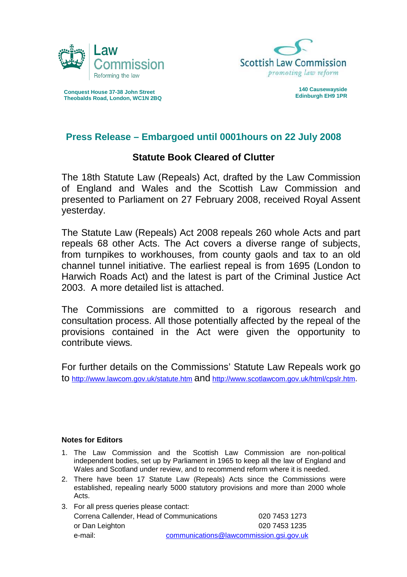



**Conquest House 37-38 John Street 140 Causewayside Theobalds Road, London, WC1N 2BQ** 

## **Press Release – Embargoed until 0001hours on 22 July 2008**

## **Statute Book Cleared of Clutter**

The 18th Statute Law (Repeals) Act, drafted by the Law Commission of England and Wales and the Scottish Law Commission and presented to Parliament on 27 February 2008, received Royal Assent yesterday.

The Statute Law (Repeals) Act 2008 repeals 260 whole Acts and part repeals 68 other Acts. The Act covers a diverse range of subjects, from turnpikes to workhouses, from county gaols and tax to an old channel tunnel initiative. The earliest repeal is from 1695 (London to Harwich Roads Act) and the latest is part of the Criminal Justice Act 2003. A more detailed list is attached.

The Commissions are committed to a rigorous research and consultation process. All those potentially affected by the repeal of the provisions contained in the Act were given the opportunity to contribute views*.* 

For further details on the Commissions' Statute Law Repeals work go to<http://www.lawcom.gov.uk/statute.htm>and [http://www.scotlawcom.gov.uk/html/cpslr.htm.](http://www.scotlawcom.gov.uk/html/cpslr.htm)

## **Notes for Editors**

- 1. The Law Commission and the Scottish Law Commission are non-political independent bodies, set up by Parliament in 1965 to keep all the law of England and Wales and Scotland under review, and to recommend reform where it is needed.
- 2. There have been 17 Statute Law (Repeals) Acts since the Commissions were established, repealing nearly 5000 statutory provisions and more than 2000 whole Acts.

| 3. For all press queries please contact:           |  |               |
|----------------------------------------------------|--|---------------|
| Correna Callender, Head of Communications          |  | 020 7453 1273 |
| or Dan Leighton                                    |  | 020 7453 1235 |
| communications@lawcommission.gsi.gov.uk<br>e-mail: |  |               |